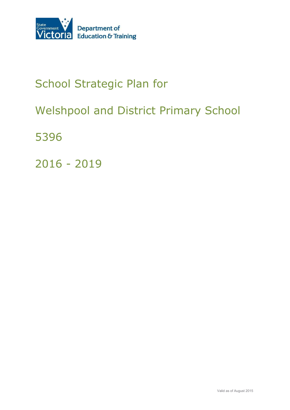

# School Strategic Plan for

# Welshpool and District Primary School

5396

2016 - 2019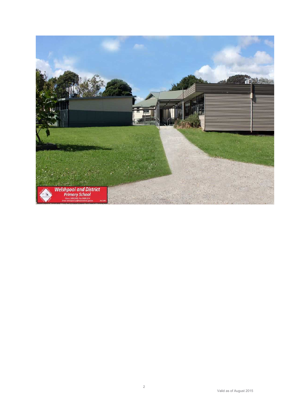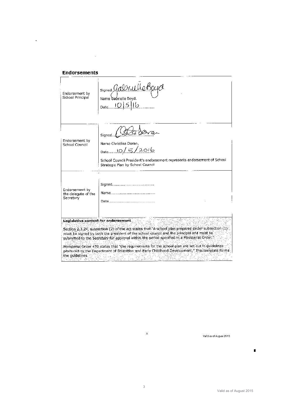| Endorsement by<br>School Principal                 | signed Gabrielle Bo<br>Name Gabrielle Boyd.<br>$D_{\text{ate}}$ $10 5 16$                                                                                                                                                                                                                                                                                                                                                                                                                                                                    |
|----------------------------------------------------|----------------------------------------------------------------------------------------------------------------------------------------------------------------------------------------------------------------------------------------------------------------------------------------------------------------------------------------------------------------------------------------------------------------------------------------------------------------------------------------------------------------------------------------------|
| Endorsement by<br>School Council                   | Signed<br>Name Christina Doran.<br>Date 10/5/2016<br>School Council President's endorsement represents endorsement of School<br>Strategic Plan by School Council                                                                                                                                                                                                                                                                                                                                                                             |
| Endorsement by<br>the delegate of the<br>Secretary | <u>Name</u>                                                                                                                                                                                                                                                                                                                                                                                                                                                                                                                                  |
| the guidelines.                                    | Legislative context for endorsement<br>Section 2,3,24, subsection (2) of the act states that "A school plan prepared under subsection (1).<br>must be signed by both the president of the school council and the principal and must be<br>submitted to the Secretary for approval within the period specified in a Ministerial Order."<br>Ministerial Order 470 states that "the requirements for the school plan are set out in guidelines<br>produced by the Department of Education and Early Childhood Development." This template forms |

 $\label{eq:1.1} \frac{1}{\sqrt{2}}\sum_{i=1}^n\frac{1}{\sqrt{2}}\sum_{i=1}^n\frac{1}{\sqrt{2}}\sum_{i=1}^n\frac{1}{\sqrt{2}}\sum_{i=1}^n\frac{1}{\sqrt{2}}\sum_{i=1}^n\frac{1}{\sqrt{2}}\sum_{i=1}^n\frac{1}{\sqrt{2}}\sum_{i=1}^n\frac{1}{\sqrt{2}}\sum_{i=1}^n\frac{1}{\sqrt{2}}\sum_{i=1}^n\frac{1}{\sqrt{2}}\sum_{i=1}^n\frac{1}{\sqrt{2}}\sum_{i=1}^n\frac$ 

Valid as of August 2015

Ť

3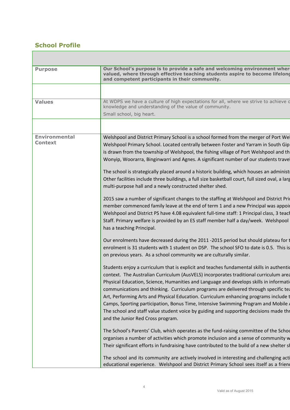## **School Profile**

<u>a sa sa</u>

| <b>Purpose</b>       | Our School's purpose is to provide a safe and welcoming environment wher<br>valued, where through effective teaching students aspire to become lifelong<br>and competent participants in their community.                                                                                                                                                                                                                                                                                                                                                                                                                                                                   |
|----------------------|-----------------------------------------------------------------------------------------------------------------------------------------------------------------------------------------------------------------------------------------------------------------------------------------------------------------------------------------------------------------------------------------------------------------------------------------------------------------------------------------------------------------------------------------------------------------------------------------------------------------------------------------------------------------------------|
|                      |                                                                                                                                                                                                                                                                                                                                                                                                                                                                                                                                                                                                                                                                             |
| <b>Values</b>        | At WDPS we have a culture of high expectations for all, where we strive to achieve o<br>knowledge and understanding of the value of community.                                                                                                                                                                                                                                                                                                                                                                                                                                                                                                                              |
|                      | Small school, big heart.                                                                                                                                                                                                                                                                                                                                                                                                                                                                                                                                                                                                                                                    |
| <b>Environmental</b> |                                                                                                                                                                                                                                                                                                                                                                                                                                                                                                                                                                                                                                                                             |
| <b>Context</b>       | Welshpool and District Primary School is a school formed from the merger of Port We<br>Welshpool Primary School. Located centrally between Foster and Yarram in South Gip<br>is drawn from the township of Welshpool, the fishing village of Port Welshpool and th<br>Wonyip, Woorarra, Binginwarri and Agnes. A significant number of our students trave                                                                                                                                                                                                                                                                                                                   |
|                      | The school is strategically placed around a historic building, which houses an administ<br>Other facilities include three buildings, a full size basketball court, full sized oval, a larg<br>multi-purpose hall and a newly constructed shelter shed.                                                                                                                                                                                                                                                                                                                                                                                                                      |
|                      | 2015 saw a number of significant changes to the staffing at Welshpool and District Pri<br>member commenced family leave at the end of term 1 and a new Principal was appoir<br>Welshpool and District PS have 4.08 equivalent full-time staff: 1 Principal class, 3 teach<br>Staff. Primary welfare is provided by an ES staff member half a day/week. Welshpool<br>has a teaching Principal.                                                                                                                                                                                                                                                                               |
|                      | Our enrolments have decreased during the 2011 -2015 period but should plateau for t<br>enrolment is 31 students with 1 student on DSP. The school SFO to date is 0.5. This is<br>on previous years. As a school community we are culturally similar.                                                                                                                                                                                                                                                                                                                                                                                                                        |
|                      | Students enjoy a curriculum that is explicit and teaches fundamental skills in authentic<br>context. The Australian Curriculum (AusVELS) incorporates traditional curriculum area<br>Physical Education, Science, Humanities and Language and develops skills in informati<br>communications and thinking. Curriculum programs are delivered through specific tea<br>Art, Performing Arts and Physical Education. Curriculum enhancing programs include t<br>Camps, Sporting participation, Bonus Time, Intensive Swimming Program and Mobile<br>The school and staff value student voice by guiding and supporting decisions made thr<br>and the Junior Red Cross program. |
|                      | The School's Parents' Club, which operates as the fund-raising committee of the School<br>organises a number of activities which promote inclusion and a sense of community w<br>Their significant efforts in fundraising have contributed to the build of a new shelter sl                                                                                                                                                                                                                                                                                                                                                                                                 |
|                      | The school and its community are actively involved in interesting and challenging acti<br>educational experience. Welshpool and District Primary School sees itself as a friend                                                                                                                                                                                                                                                                                                                                                                                                                                                                                             |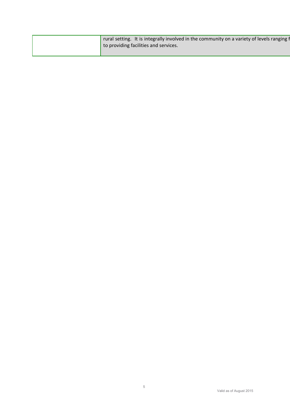|  | rural setting. It is integrally involved in the community on a variety of levels ranging f<br>to providing facilities and services. |
|--|-------------------------------------------------------------------------------------------------------------------------------------|
|  |                                                                                                                                     |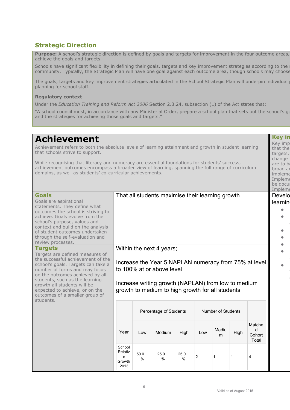### **Strategic Direction**

**Purpose:** A school's strategic direction is defined by goals and targets for improvement in the four outcome areas, achieve the goals and targets.

Schools have significant flexibility in defining their goals, targets and key improvement strategies according to the community. Typically, the Strategic Plan will have one goal against each outcome area, though schools may choose

The goals, targets and key improvement strategies articulated in the School Strategic Plan will underpin individual planning for school staff.

#### **Regulatory context**

Under the *Education Training and Reform Act 2006* Section 2.3.24, subsection (1) of the Act states that:

"A school council must, in accordance with any Ministerial Order, prepare a school plan that sets out the school's go and the strategies for achieving those goals and targets."

| <b>Achievement</b><br>Achievement refers to both the absolute levels of learning attainment and growth in student learning<br>that schools strive to support.<br>While recognising that literacy and numeracy are essential foundations for students' success,<br>achievement outcomes encompass a broader view of learning, spanning the full range of curriculum<br>domains, as well as students' co-curricular achievements.                                                                                                                                                                                      |                                          |                                              |                                                                                                                                                                                                                      |           |                |              |              |                                                       | <b>Key in</b><br>Key imp<br>that the<br>targets.<br>change <sup>1</sup><br>are to be<br>broad ar<br>impleme<br>Impleme<br>be docul<br>Impleme |
|----------------------------------------------------------------------------------------------------------------------------------------------------------------------------------------------------------------------------------------------------------------------------------------------------------------------------------------------------------------------------------------------------------------------------------------------------------------------------------------------------------------------------------------------------------------------------------------------------------------------|------------------------------------------|----------------------------------------------|----------------------------------------------------------------------------------------------------------------------------------------------------------------------------------------------------------------------|-----------|----------------|--------------|--------------|-------------------------------------------------------|-----------------------------------------------------------------------------------------------------------------------------------------------|
| <b>Goals</b><br>Goals are aspirational<br>statements. They define what<br>outcomes the school is striving to<br>achieve. Goals evolve from the<br>school's purpose, values and<br>context and build on the analysis<br>of student outcomes undertaken<br>through the self-evaluation and<br>review processes.<br><b>Targets</b><br>Targets are defined measures of<br>the successful achievement of the<br>school's goals. Targets can take a<br>number of forms and may focus<br>on the outcomes achieved by all<br>students, such as the learning<br>growth all students will be<br>expected to achieve, or on the |                                          |                                              | That all students maximise their learning growth<br>Within the next 4 years;<br>to 100% at or above level<br>Increase writing growth (NAPLAN) from low to medium<br>growth to medium to high growth for all students |           |                |              |              | Increase the Year 5 NAPLAN numeracy from 75% at level | Develo<br>learnin                                                                                                                             |
| outcomes of a smaller group of<br>students.                                                                                                                                                                                                                                                                                                                                                                                                                                                                                                                                                                          |                                          | Number of Students<br>Percentage of Students |                                                                                                                                                                                                                      |           |                |              |              |                                                       |                                                                                                                                               |
|                                                                                                                                                                                                                                                                                                                                                                                                                                                                                                                                                                                                                      | Year                                     | Low                                          | Medium                                                                                                                                                                                                               | High      | Low            | Mediu<br>m   | High         | Matche<br>d<br>Cohort<br>Total                        |                                                                                                                                               |
|                                                                                                                                                                                                                                                                                                                                                                                                                                                                                                                                                                                                                      | School<br>Relativ<br>e<br>Growth<br>2013 | 50.0<br>$\%$                                 | 25.0<br>$\%$                                                                                                                                                                                                         | 25.0<br>% | $\overline{2}$ | $\mathbf{1}$ | $\mathbf{1}$ | 4                                                     |                                                                                                                                               |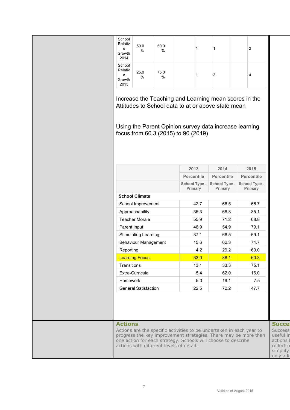| School<br>Relativ<br>e<br>Growth<br>2014 | 50.0<br>%                   | 50.0<br>$\%$                                                                                              | 1                        | 1                                             | $\overline{c}$                                                                                                                          |                                                                                                |
|------------------------------------------|-----------------------------|-----------------------------------------------------------------------------------------------------------|--------------------------|-----------------------------------------------|-----------------------------------------------------------------------------------------------------------------------------------------|------------------------------------------------------------------------------------------------|
| School<br>Relativ<br>e<br>Growth<br>2015 | 25.0<br>%                   | 75.0<br>%                                                                                                 | 1                        | 3                                             | 4                                                                                                                                       |                                                                                                |
|                                          |                             | Attitudes to School data to at or above state mean                                                        |                          |                                               | Increase the Teaching and Learning mean scores in the                                                                                   |                                                                                                |
|                                          |                             | Using the Parent Opinion survey data increase learning<br>focus from 60.3 (2015) to 90 (2019)             |                          |                                               |                                                                                                                                         |                                                                                                |
|                                          |                             |                                                                                                           | 2013                     | 2014                                          | 2015                                                                                                                                    |                                                                                                |
|                                          |                             |                                                                                                           | <b>Percentile</b>        |                                               | <b>Percentile</b>                                                                                                                       |                                                                                                |
|                                          |                             |                                                                                                           | School Type -<br>Primary | <b>Percentile</b><br>School Type -<br>Primary | School Type -<br>Primary                                                                                                                |                                                                                                |
|                                          | <b>School Climate</b>       |                                                                                                           |                          |                                               |                                                                                                                                         |                                                                                                |
|                                          | School Improvement          |                                                                                                           | 42.7                     | 66.5                                          | 66.7                                                                                                                                    |                                                                                                |
|                                          | Approachability             |                                                                                                           | 35.3                     | 68.3                                          | 85.1                                                                                                                                    |                                                                                                |
|                                          | <b>Teacher Morale</b>       |                                                                                                           | 55.9                     | 71.2                                          | 68.8                                                                                                                                    |                                                                                                |
| Parent Input                             |                             |                                                                                                           | 46.9                     | 54.9                                          | 79.1                                                                                                                                    |                                                                                                |
|                                          | <b>Stimulating Learning</b> |                                                                                                           | 37.1                     | 66.5                                          | 69.1                                                                                                                                    |                                                                                                |
|                                          | <b>Behaviour Management</b> |                                                                                                           | 15.6                     | 62.3                                          | 74.7                                                                                                                                    |                                                                                                |
| Reporting                                |                             |                                                                                                           | 4.2                      | 29.2                                          | 60.0                                                                                                                                    |                                                                                                |
|                                          | <b>Learning Focus</b>       |                                                                                                           | 33.0                     | 88.1                                          | 60.3                                                                                                                                    |                                                                                                |
| Transitions                              |                             |                                                                                                           | 13.1                     | 33.3                                          | 75.1                                                                                                                                    |                                                                                                |
|                                          | Extra-Curricula             |                                                                                                           | 5.4                      | 62.0                                          | 16.0                                                                                                                                    |                                                                                                |
| Homework                                 |                             |                                                                                                           | 5.3                      | 19.1                                          | 7.5                                                                                                                                     |                                                                                                |
|                                          | <b>General Satisfaction</b> |                                                                                                           | 22.5                     | 72.2                                          | 47.7                                                                                                                                    |                                                                                                |
| <b>Actions</b>                           |                             | one action for each strategy. Schools will choose to describe<br>actions with different levels of detail. |                          |                                               | Actions are the specific activities to be undertaken in each year to<br>progress the key improvement strategies. There may be more than | <b>Succe</b><br><b>Success</b><br>useful in<br>actions I<br>reflect o<br>simplify<br>only a li |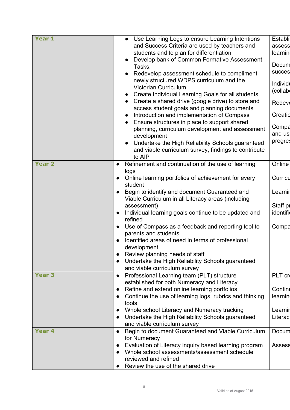| Year 1            | Use Learning Logs to ensure Learning Intentions                                                                    | <b>Establi</b> |
|-------------------|--------------------------------------------------------------------------------------------------------------------|----------------|
|                   | and Success Criteria are used by teachers and                                                                      | assess         |
|                   | students and to plan for differentiation                                                                           | learnin        |
|                   | Develop bank of Common Formative Assessment                                                                        | Docum          |
|                   | Tasks.                                                                                                             | succes         |
|                   | Redevelop assessment schedule to compliment                                                                        |                |
|                   | newly structured WDPS curriculum and the                                                                           | Individe       |
|                   | <b>Victorian Curriculum</b>                                                                                        | (collab        |
|                   | Create Individual Learning Goals for all students.                                                                 |                |
|                   | Create a shared drive (google drive) to store and                                                                  | <b>Redeve</b>  |
|                   | access student goals and planning documents                                                                        | Creatid        |
|                   | Introduction and implementation of Compass                                                                         |                |
|                   | Ensure structures in place to support shared<br>$\bullet$<br>planning, curriculum development and assessment       | Compa          |
|                   | development                                                                                                        | and us         |
|                   | Undertake the High Reliability Schools guaranteed                                                                  | progres        |
|                   | and viable curriculum survey, findings to contribute                                                               |                |
|                   | to AIP                                                                                                             |                |
| Year <sub>2</sub> | Refinement and continuation of the use of learning<br>$\bullet$                                                    | Online         |
|                   | logs                                                                                                               |                |
|                   | Online learning portfolios of achievement for every<br>$\bullet$                                                   | Curricu        |
|                   | student                                                                                                            |                |
|                   | Begin to identify and document Guaranteed and                                                                      | Learnin        |
|                   | Viable Curriculum in all Literacy areas (including                                                                 |                |
|                   | assessment)                                                                                                        | Staff pr       |
|                   | Individual learning goals continue to be updated and<br>$\bullet$                                                  | identific      |
|                   | refined                                                                                                            |                |
|                   | Use of Compass as a feedback and reporting tool to<br>$\bullet$                                                    | Compa          |
|                   | parents and students                                                                                               |                |
|                   | Identified areas of need in terms of professional                                                                  |                |
|                   | development                                                                                                        |                |
|                   | Review planning needs of staff                                                                                     |                |
|                   | Undertake the High Reliability Schools guaranteed                                                                  |                |
|                   | and viable curriculum survey                                                                                       |                |
| <b>Year 3</b>     | Professional Learning team (PLT) structure<br>$\bullet$                                                            | PLT cr         |
|                   | established for both Numeracy and Literacy                                                                         |                |
|                   | Refine and extend online learning portfolios<br>$\bullet$                                                          | Continu        |
|                   | Continue the use of learning logs, rubrics and thinking<br>$\bullet$                                               | learnin        |
|                   | tools                                                                                                              |                |
|                   | Whole school Literacy and Numeracy tracking<br>$\bullet$                                                           | Learnin        |
|                   | Undertake the High Reliability Schools guaranteed<br>$\bullet$                                                     | Literac        |
| Year <sub>4</sub> | and viable curriculum survey                                                                                       |                |
|                   | Begin to document Guaranteed and Viable Curriculum<br>$\bullet$<br>for Numeracy                                    | Docum          |
|                   |                                                                                                                    |                |
|                   | Evaluation of Literacy inquiry based learning program<br>$\bullet$<br>Whole school assessments/assessment schedule | <b>Assess</b>  |
|                   | reviewed and refined                                                                                               |                |
|                   | Review the use of the shared drive                                                                                 |                |
|                   |                                                                                                                    |                |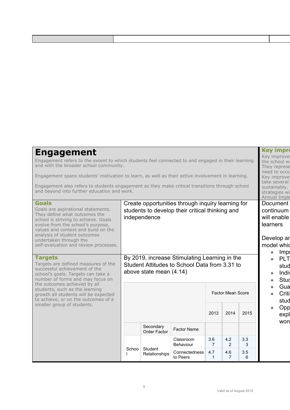| <b>Engagement</b><br>Engagement refers to the extent to which students feel connected to and engaged in their learning<br>and with the broader school community.<br>Engagement spans students' motivation to learn, as well as their active involvement in learning.<br>Engagement also refers to students engagement as they make critical transitions through school<br>and beyond into further education and work. |                                                                                                                           |                                                  |                               |                       |                       |          | <b>Key impro</b><br>Key improve<br>the school wi<br>They represe<br>need to occu<br>Key improve<br>take several<br>sustainably. |                                                                                                                              |
|-----------------------------------------------------------------------------------------------------------------------------------------------------------------------------------------------------------------------------------------------------------------------------------------------------------------------------------------------------------------------------------------------------------------------|---------------------------------------------------------------------------------------------------------------------------|--------------------------------------------------|-------------------------------|-----------------------|-----------------------|----------|---------------------------------------------------------------------------------------------------------------------------------|------------------------------------------------------------------------------------------------------------------------------|
| <b>Goals</b><br>Goals are aspirational statements.<br>They define what outcomes the<br>school is striving to achieve. Goals<br>evolve from the school's purpose,<br>values and context and build on the<br>analysis of student outcomes<br>undertaken through the<br>self-evaluation and review processes.                                                                                                            | Create opportunities through inquiry learning for<br>students to develop their critical thinking and<br>independence      |                                                  |                               |                       |                       |          |                                                                                                                                 | strategies wi<br>Annual Imple<br><b>Document</b><br>continuum<br>will enable<br>learners<br>Develop ar<br>model whid<br>Impi |
| <b>Targets</b><br>Targets are defined measures of the<br>successful achievement of the<br>school's goals. Targets can take a<br>number of forms and may focus on<br>the outcomes achieved by all<br>students, such as the learning                                                                                                                                                                                    | By 2019, increase Stimulating Learning in the<br>Student Attitudes to School Data from 3.31 to<br>above state mean (4.14) |                                                  |                               |                       |                       |          | $\bullet$                                                                                                                       | <b>PLT</b><br>stud<br>Indiv<br>Stud<br>Gua                                                                                   |
| growth all students will be expected<br>to achieve, or on the outcomes of a<br>smaller group of students.                                                                                                                                                                                                                                                                                                             |                                                                                                                           | <b>Factor Mean Score</b><br>2013<br>2014<br>2015 |                               |                       |                       |          |                                                                                                                                 | Critil<br>stud<br>Opp<br>expl                                                                                                |
|                                                                                                                                                                                                                                                                                                                                                                                                                       |                                                                                                                           | Secondary<br><b>Order Factor</b>                 | <b>Factor Name</b>            |                       |                       |          |                                                                                                                                 | won                                                                                                                          |
|                                                                                                                                                                                                                                                                                                                                                                                                                       |                                                                                                                           | Student                                          | Classroom<br><b>Behaviour</b> | 3.6<br>$\overline{7}$ | 4.2<br>2              | 3.3<br>3 |                                                                                                                                 |                                                                                                                              |
|                                                                                                                                                                                                                                                                                                                                                                                                                       | Schoo                                                                                                                     | Relationships                                    | Connectedness<br>to Peers     | 4.7<br>$\mathbf{1}$   | 4.6<br>$\overline{7}$ | 3.5<br>6 |                                                                                                                                 |                                                                                                                              |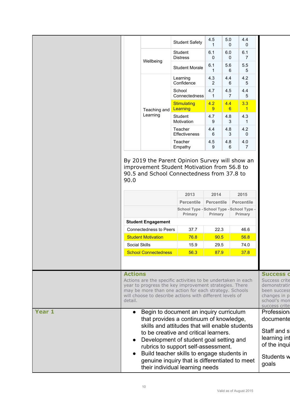|                   |                      |                                                                                                                                                                                                                                                                | <b>Student Safety</b>                              | 4.5<br>1            | 5.0<br>0               | 4.4<br>$\Omega$     |                  |  |  |
|-------------------|----------------------|----------------------------------------------------------------------------------------------------------------------------------------------------------------------------------------------------------------------------------------------------------------|----------------------------------------------------|---------------------|------------------------|---------------------|------------------|--|--|
|                   |                      | Wellbeing                                                                                                                                                                                                                                                      | Student<br><b>Distress</b>                         | 6.1<br>0            | 6.0<br>0               | 6.1<br>7            |                  |  |  |
|                   |                      |                                                                                                                                                                                                                                                                | <b>Student Morale</b>                              | 6.1<br>$\mathbf{1}$ | 5.6<br>6               | 5.5<br>5            |                  |  |  |
|                   |                      |                                                                                                                                                                                                                                                                | Learning<br>Confidence                             | 4.3<br>2            | 4.4<br>6               | 4.2<br>5            |                  |  |  |
|                   |                      |                                                                                                                                                                                                                                                                | School<br>Connectedness                            | 4.7<br>$\mathbf{1}$ | 4.5<br>$\overline{7}$  | 4.4<br>5            |                  |  |  |
|                   |                      | Teaching and                                                                                                                                                                                                                                                   | <b>Stimulating</b><br>Learning                     | 4.2<br>9            | 4.4<br>$6\phantom{1}6$ | 3.3<br>$\mathbf{1}$ |                  |  |  |
|                   |                      | Learning                                                                                                                                                                                                                                                       | Student<br>Motivation                              | 4.7<br>9            | 4.8<br>3               | 4.3<br>1            |                  |  |  |
|                   |                      |                                                                                                                                                                                                                                                                | Teacher<br><b>Effectiveness</b>                    | 4.4<br>6            | 4.8<br>3               | 4.2<br>$\Omega$     |                  |  |  |
|                   |                      |                                                                                                                                                                                                                                                                | Teacher<br>Empathy                                 | 4.5<br>9            | 4.8<br>6               | 4.0<br>7            |                  |  |  |
|                   | 90.0                 |                                                                                                                                                                                                                                                                | 90.5 and School Connectedness from 37.8 to<br>2013 | 2014                |                        | 2015                |                  |  |  |
|                   |                      |                                                                                                                                                                                                                                                                | <b>Percentile</b>                                  | <b>Percentile</b>   |                        | <b>Percentile</b>   |                  |  |  |
|                   |                      |                                                                                                                                                                                                                                                                | School Type - School Type - School Type<br>Primary | Primary             |                        | Primary             |                  |  |  |
|                   |                      | <b>Student Engagement</b>                                                                                                                                                                                                                                      |                                                    |                     |                        |                     |                  |  |  |
|                   |                      | <b>Connectedness to Peers</b>                                                                                                                                                                                                                                  | 37.7                                               | 22.3                |                        | 46.6                |                  |  |  |
|                   |                      | <b>Student Motivation</b>                                                                                                                                                                                                                                      | 76.8                                               | 90.5                |                        | 56.8                |                  |  |  |
|                   | <b>Social Skills</b> |                                                                                                                                                                                                                                                                | 15.9                                               | 29.5                |                        | 74.0                |                  |  |  |
|                   |                      | <b>School Connectedness</b>                                                                                                                                                                                                                                    | 56.3                                               | 87.9                |                        | 37.8                |                  |  |  |
|                   |                      |                                                                                                                                                                                                                                                                |                                                    |                     |                        |                     | <b>Success d</b> |  |  |
|                   | detail.              | <b>Actions</b><br>Actions are the specific activities to be undertaken in each<br>year to progress the key improvement strategies. There<br>may be more than one action for each strategy. Schools<br>will choose to describe actions with different levels of |                                                    |                     |                        |                     |                  |  |  |
| Year <sub>1</sub> | $\bullet$            | <b>Profession</b><br>documente                                                                                                                                                                                                                                 |                                                    |                     |                        |                     |                  |  |  |
|                   |                      | that provides a continuum of knowledge,<br>skills and attitudes that will enable students<br>to be creative and critical learners.<br>Development of student goal setting and<br>rubrics to support self-assessment.                                           |                                                    |                     |                        |                     |                  |  |  |
|                   |                      | Students w<br>goals                                                                                                                                                                                                                                            |                                                    |                     |                        |                     |                  |  |  |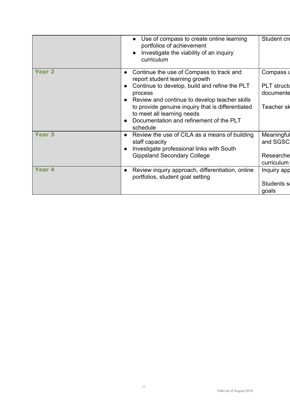|                   | Use of compass to create online learning<br>portfolios of achievement<br>Investigate the viability of an inquiry<br>$\bullet$<br>curriculum | Student cre                     |
|-------------------|---------------------------------------------------------------------------------------------------------------------------------------------|---------------------------------|
| <b>Year 2</b>     | Continue the use of Compass to track and<br>report student learning growth                                                                  | Compass u                       |
|                   | Continue to develop, build and refine the PLT<br>process<br>Review and continue to develop teacher skills                                   | <b>PLT</b> structu<br>documente |
|                   | to provide genuine inquiry that is differentiated<br>to meet all learning needs<br>Documentation and refinement of the PLT<br>schedule      | Teacher sk                      |
| <b>Year 3</b>     | Review the use of CILA as a means of building<br>staff capacity<br>Investigate professional links with South                                | Meaningful<br>and SGSC          |
|                   | <b>Gippsland Secondary College</b>                                                                                                          | Researche<br>curriculum         |
| Year <sub>4</sub> | Review inquiry approach, differentiation, online<br>portfolios, student goal setting                                                        | Inquiry app                     |
|                   |                                                                                                                                             | Students so<br>goals            |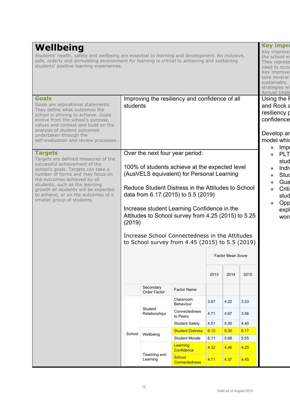| Wellbeing<br>Students' health, safety and wellbeing are essential to learning and development. An inclusive,<br>safe, orderly and stimulating environment for learning is critical to achieving and sustaining<br>students' positive learning experiences.                                                                                      |                                                            |                          |                                                                                                                                                                                                                                                                                                                                                                                                                                         |              |              |              | take several<br>sustainably. | <b>Key impro</b><br>Key improve<br>the school wi<br>They represe<br>need to occu<br>Key improve<br>strategies wi<br><b>Annual Imple</b> |  |  |  |  |  |  |                                                                                             |
|-------------------------------------------------------------------------------------------------------------------------------------------------------------------------------------------------------------------------------------------------------------------------------------------------------------------------------------------------|------------------------------------------------------------|--------------------------|-----------------------------------------------------------------------------------------------------------------------------------------------------------------------------------------------------------------------------------------------------------------------------------------------------------------------------------------------------------------------------------------------------------------------------------------|--------------|--------------|--------------|------------------------------|-----------------------------------------------------------------------------------------------------------------------------------------|--|--|--|--|--|--|---------------------------------------------------------------------------------------------|
| <b>Goals</b><br>Goals are aspirational statements.<br>They define what outcomes the<br>school is striving to achieve. Goals<br>evolve from the school's purpose,<br>values and context and build on the<br>analysis of student outcomes<br>undertaken through the<br>self-evaluation and review processes.                                      | Improving the resiliency and confidence of all<br>students |                          |                                                                                                                                                                                                                                                                                                                                                                                                                                         |              |              |              |                              |                                                                                                                                         |  |  |  |  |  |  | Using the F<br>and Rock a<br>resiliency p<br>confidence<br>Develop ar<br>model whic<br>Impl |
| <b>Targets</b><br>Targets are defined measures of the<br>successful achievement of the<br>school's goals. Targets can take a<br>number of forms and may focus on<br>the outcomes achieved by all<br>students, such as the learning<br>growth all students will be expected<br>to achieve, or on the outcomes of a<br>smaller group of students. | (2019)                                                     |                          | Over the next four year period:<br>100% of students achieve at the expected level<br>(AusVELS equivalent) for Personal Learning<br>Reduce Student Distress in the Attitudes to School<br>data from 6.17 (2015) to 5.5 (2019)<br>Increase student Learning Confidence in the<br>Attitudes to School survey from 4.25 (2015) to 5.25<br>Increase School Connectedness in the Attitudes<br>to School survey from 4.45 (2015) to 5.5 (2019) |              |              |              | $\bullet$                    | <b>PLT</b><br>stud<br>Indi<br>Stud<br>Gua<br>Criti<br>stud<br>Opp<br>expl<br>won                                                        |  |  |  |  |  |  |                                                                                             |
|                                                                                                                                                                                                                                                                                                                                                 | Factor Mean Score                                          |                          |                                                                                                                                                                                                                                                                                                                                                                                                                                         |              |              |              |                              |                                                                                                                                         |  |  |  |  |  |  |                                                                                             |
|                                                                                                                                                                                                                                                                                                                                                 |                                                            | Secondary                |                                                                                                                                                                                                                                                                                                                                                                                                                                         | 2013         | 2014         | 2015         |                              |                                                                                                                                         |  |  |  |  |  |  |                                                                                             |
|                                                                                                                                                                                                                                                                                                                                                 |                                                            | Order Factor             | Factor Name<br>Classroom<br>Behaviour                                                                                                                                                                                                                                                                                                                                                                                                   | 3.67         | 4.22         | 3.33         |                              |                                                                                                                                         |  |  |  |  |  |  |                                                                                             |
|                                                                                                                                                                                                                                                                                                                                                 |                                                            | Student<br>Relationships | Connectedness<br>to Peers                                                                                                                                                                                                                                                                                                                                                                                                               | 4.71         | 4.67         | 3.56         |                              |                                                                                                                                         |  |  |  |  |  |  |                                                                                             |
|                                                                                                                                                                                                                                                                                                                                                 |                                                            |                          | <b>Student Safety</b><br><b>Student Distress</b>                                                                                                                                                                                                                                                                                                                                                                                        | 4.51<br>6.10 | 5.00<br>6.00 | 4.40<br>6.17 |                              |                                                                                                                                         |  |  |  |  |  |  |                                                                                             |
|                                                                                                                                                                                                                                                                                                                                                 | School                                                     | Wellbeing                | <b>Student Morale</b>                                                                                                                                                                                                                                                                                                                                                                                                                   | 6.11         | 5.66         | 5.55         |                              |                                                                                                                                         |  |  |  |  |  |  |                                                                                             |
|                                                                                                                                                                                                                                                                                                                                                 |                                                            |                          | Learning<br>Confidence                                                                                                                                                                                                                                                                                                                                                                                                                  | 4.32         | 4.46         | 4.25         |                              |                                                                                                                                         |  |  |  |  |  |  |                                                                                             |
|                                                                                                                                                                                                                                                                                                                                                 |                                                            | Teaching and<br>Learning | <b>School</b><br><b>Connectedness</b>                                                                                                                                                                                                                                                                                                                                                                                                   | 4.71         | 4.57         | 4.45         |                              |                                                                                                                                         |  |  |  |  |  |  |                                                                                             |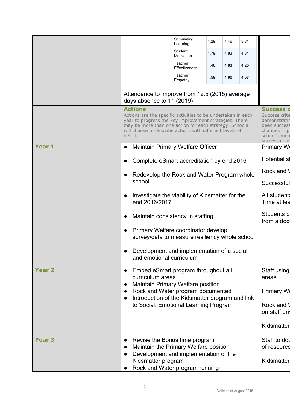|               |                                                                                                                  | Stimulating<br>Learning                                                                                                                                                                                                                                                                                                                                            | 4.29 | 4.46 | 3.31 |                             |  |  |  |
|---------------|------------------------------------------------------------------------------------------------------------------|--------------------------------------------------------------------------------------------------------------------------------------------------------------------------------------------------------------------------------------------------------------------------------------------------------------------------------------------------------------------|------|------|------|-----------------------------|--|--|--|
|               |                                                                                                                  | Student<br>Motivation                                                                                                                                                                                                                                                                                                                                              | 4.79 | 4.83 | 4.31 |                             |  |  |  |
|               |                                                                                                                  | Teacher<br>Effectiveness                                                                                                                                                                                                                                                                                                                                           | 4.46 | 4.83 | 4.20 |                             |  |  |  |
|               |                                                                                                                  | Teacher<br>Empathy                                                                                                                                                                                                                                                                                                                                                 | 4.59 | 4.86 | 4.07 |                             |  |  |  |
|               | Attendance to improve from 12.5 (2015) average<br>days absence to 11 (2019)                                      |                                                                                                                                                                                                                                                                                                                                                                    |      |      |      |                             |  |  |  |
|               | <b>Actions</b><br>detail.                                                                                        | <b>Success d</b><br>Actions are the specific activities to be undertaken in each<br>Success crite<br>year to progress the key improvement strategies. There<br>demonstratir<br>may be more than one action for each strategy. Schools<br>been success<br>will choose to describe actions with different levels of<br>changes in p<br>school's mon<br>success crite |      |      |      |                             |  |  |  |
| Year 1        | <b>Maintain Primary Welfare Officer</b>                                                                          |                                                                                                                                                                                                                                                                                                                                                                    |      |      |      | Primary We                  |  |  |  |
|               | Complete eSmart accreditation by end 2016                                                                        |                                                                                                                                                                                                                                                                                                                                                                    |      |      |      | <b>Potential st</b>         |  |  |  |
|               | Redevelop the Rock and Water Program whole                                                                       |                                                                                                                                                                                                                                                                                                                                                                    |      |      |      | Rock and \                  |  |  |  |
|               | school                                                                                                           |                                                                                                                                                                                                                                                                                                                                                                    |      |      |      | Successful                  |  |  |  |
|               | Investigate the viability of Kidsmatter for the<br>end 2016/2017                                                 | All students<br>Time at lea                                                                                                                                                                                                                                                                                                                                        |      |      |      |                             |  |  |  |
|               | Maintain consistency in staffing<br>$\bullet$                                                                    |                                                                                                                                                                                                                                                                                                                                                                    |      |      |      | Students p<br>from a docl   |  |  |  |
|               | Primary Welfare coordinator develop<br>survey/data to measure resiliency whole school                            |                                                                                                                                                                                                                                                                                                                                                                    |      |      |      |                             |  |  |  |
|               | Development and implementation of a social<br>and emotional curriculum                                           |                                                                                                                                                                                                                                                                                                                                                                    |      |      |      |                             |  |  |  |
| <b>Year 2</b> | Embed eSmart program throughout all<br>$\bullet$<br>curriculum areas<br><b>Maintain Primary Welfare position</b> |                                                                                                                                                                                                                                                                                                                                                                    |      |      |      | Staff using<br>areas        |  |  |  |
|               | Rock and Water program documented<br>Introduction of the Kidsmatter program and link                             |                                                                                                                                                                                                                                                                                                                                                                    |      |      |      | Primary We                  |  |  |  |
|               | to Social, Emotional Learning Program                                                                            |                                                                                                                                                                                                                                                                                                                                                                    |      |      |      | Rock and \<br>on staff driv |  |  |  |
|               |                                                                                                                  |                                                                                                                                                                                                                                                                                                                                                                    |      |      |      | Kidsmatter                  |  |  |  |
| <b>Year 3</b> | Revise the Bonus time program<br>$\bullet$                                                                       |                                                                                                                                                                                                                                                                                                                                                                    |      |      |      | Staff to do                 |  |  |  |
|               | Maintain the Primary Welfare position<br>Development and implementation of the<br>Kidsmatter program             |                                                                                                                                                                                                                                                                                                                                                                    |      |      |      | of resource<br>Kidsmatter   |  |  |  |
|               | Rock and Water program running                                                                                   |                                                                                                                                                                                                                                                                                                                                                                    |      |      |      |                             |  |  |  |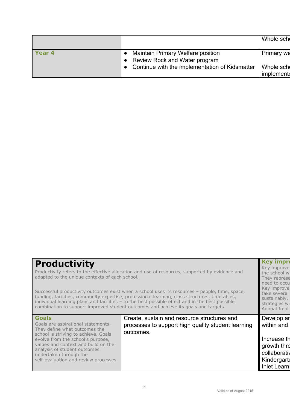|                   |                                                                           | Whole scho              |
|-------------------|---------------------------------------------------------------------------|-------------------------|
| Year <sub>4</sub> | <b>Maintain Primary Welfare position</b><br>Review Rock and Water program | Primary we              |
|                   | Continue with the implementation of Kidsmatter                            | Whole scho<br>implement |
|                   |                                                                           |                         |

# **Productivity**

Productivity refers to the effective allocation and use of resources, supported by evidence and adapted to the unique contexts of each school.

Successful productivity outcomes exist when a school uses its resources – people, time, space, funding, facilities, community expertise, professional learning, class structures, timetables, individual learning plans and facilities – to the best possible effect and in the best possible combination to support improved student outcomes and achieve its goals and targets.

### **Goals**

Goals are aspirational statements. They define what outcomes the school is striving to achieve. Goals evolve from the school's purpose, values and context and build on the analysis of student outcomes undertaken through the self-evaluation and review processes. Create, sustain and resource structures and processes to support high quality student learning outcomes.

#### the school w They represe need to occu Key improve take several sustainably.

strategies wi

**Key impro** Key improve

**Annual Imple** Develop ar within and Increase th growth thro collaborativ **Kindergarte** 

**Inlet Learn**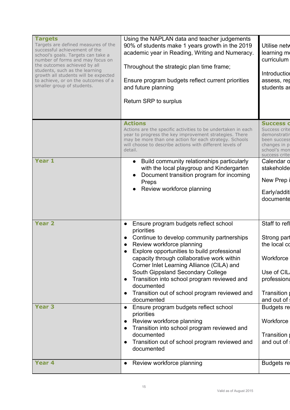| <b>Targets</b><br>Targets are defined measures of the<br>successful achievement of the<br>school's goals. Targets can take a<br>number of forms and may focus on<br>the outcomes achieved by all<br>students, such as the learning<br>growth all students will be expected<br>to achieve, or on the outcomes of a<br>smaller group of students. | Using the NAPLAN data and teacher judgements<br>90% of students make 1 years growth in the 2019<br>academic year in Reading, Writing and Numeracy.<br>Throughout the strategic plan time frame;<br>Ensure program budgets reflect current priorities<br>and future planning<br>Return SRP to surplus                                                                                                                                                                                                                       | Utilise netv<br>learning mo<br>curriculum<br>Introduction<br>assess, rep<br>students ar                                                 |
|-------------------------------------------------------------------------------------------------------------------------------------------------------------------------------------------------------------------------------------------------------------------------------------------------------------------------------------------------|----------------------------------------------------------------------------------------------------------------------------------------------------------------------------------------------------------------------------------------------------------------------------------------------------------------------------------------------------------------------------------------------------------------------------------------------------------------------------------------------------------------------------|-----------------------------------------------------------------------------------------------------------------------------------------|
|                                                                                                                                                                                                                                                                                                                                                 | <b>Actions</b><br>Actions are the specific activities to be undertaken in each<br>year to progress the key improvement strategies. There<br>may be more than one action for each strategy. Schools<br>will choose to describe actions with different levels of<br>detail.                                                                                                                                                                                                                                                  | <b>Success o</b><br>Success crite<br>demonstratir<br>been success<br>changes in p<br>school's mon                                       |
| Year 1                                                                                                                                                                                                                                                                                                                                          | Build community relationships particularly<br>$\bullet$<br>with the local playgroup and Kindergarten<br>Document transition program for incoming<br>Preps<br>Review workforce planning                                                                                                                                                                                                                                                                                                                                     | success crite<br>Calendar o<br>stakeholde<br>New Prep<br>Early/additi<br>documente                                                      |
| <b>Year 2</b><br><b>Year 3</b>                                                                                                                                                                                                                                                                                                                  | Ensure program budgets reflect school<br>priorities<br>Continue to develop community partnerships<br>Review workforce planning<br>Explore opportunities to build professional<br>capacity through collaborative work within<br>Corner Inlet Learning Alliance (CILA) and<br>South Gippsland Secondary College<br>Transition into school program reviewed and<br>$\bullet$<br>documented<br>Transition out of school program reviewed and<br>documented<br>Ensure program budgets reflect school<br>$\bullet$<br>priorities | Staff to refl<br>Strong part<br>the local co<br>Workforce<br>Use of CIL<br>professiona<br>Transition<br>and out of<br><b>Budgets re</b> |
| Year <sub>4</sub>                                                                                                                                                                                                                                                                                                                               | Review workforce planning<br>$\bullet$<br>Transition into school program reviewed and<br>$\bullet$<br>documented<br>Transition out of school program reviewed and<br>$\bullet$<br>documented<br>Review workforce planning<br>$\bullet$                                                                                                                                                                                                                                                                                     | Workforce<br>Transition<br>and out of<br><b>Budgets re</b>                                                                              |
|                                                                                                                                                                                                                                                                                                                                                 |                                                                                                                                                                                                                                                                                                                                                                                                                                                                                                                            |                                                                                                                                         |